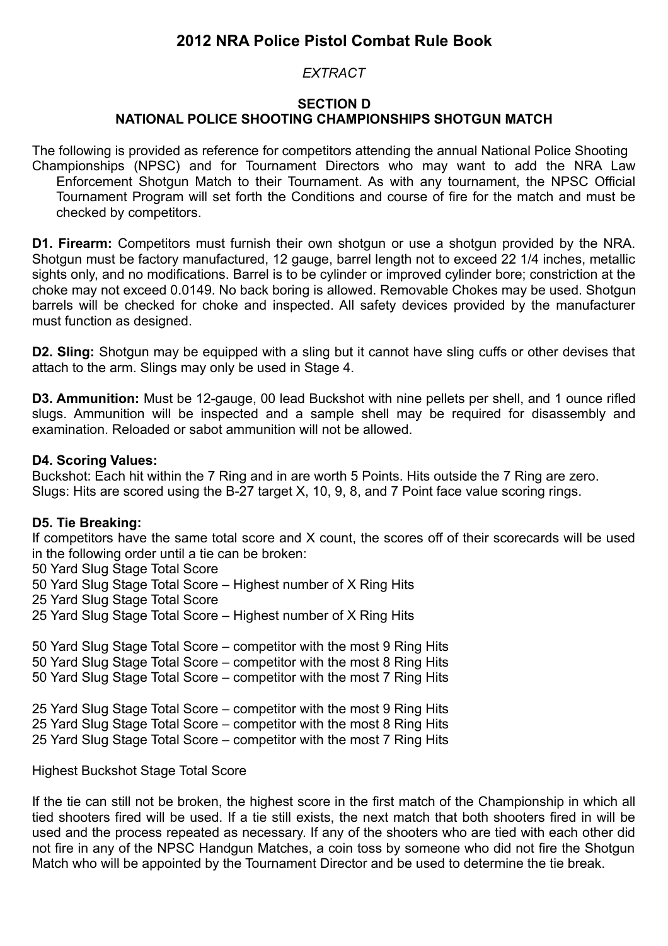# **2012 NRA Police Pistol Combat Rule Book**

## *EXTRACT*

## **SECTION D NATIONAL POLICE SHOOTING CHAMPIONSHIPS SHOTGUN MATCH**

The following is provided as reference for competitors attending the annual National Police Shooting Championships (NPSC) and for Tournament Directors who may want to add the NRA Law Enforcement Shotgun Match to their Tournament. As with any tournament, the NPSC Official Tournament Program will set forth the Conditions and course of fire for the match and must be checked by competitors.

**D1. Firearm:** Competitors must furnish their own shotgun or use a shotgun provided by the NRA. Shotgun must be factory manufactured, 12 gauge, barrel length not to exceed 22 1/4 inches, metallic sights only, and no modifications. Barrel is to be cylinder or improved cylinder bore; constriction at the choke may not exceed 0.0149. No back boring is allowed. Removable Chokes may be used. Shotgun barrels will be checked for choke and inspected. All safety devices provided by the manufacturer must function as designed.

**D2. Sling:** Shotgun may be equipped with a sling but it cannot have sling cuffs or other devises that attach to the arm. Slings may only be used in Stage 4.

**D3. Ammunition:** Must be 12-gauge, 00 lead Buckshot with nine pellets per shell, and 1 ounce rifled slugs. Ammunition will be inspected and a sample shell may be required for disassembly and examination. Reloaded or sabot ammunition will not be allowed.

## **D4. Scoring Values:**

Buckshot: Each hit within the 7 Ring and in are worth 5 Points. Hits outside the 7 Ring are zero. Slugs: Hits are scored using the B-27 target X, 10, 9, 8, and 7 Point face value scoring rings.

#### **D5. Tie Breaking:**

If competitors have the same total score and X count, the scores off of their scorecards will be used in the following order until a tie can be broken:

50 Yard Slug Stage Total Score

50 Yard Slug Stage Total Score – Highest number of X Ring Hits

25 Yard Slug Stage Total Score

25 Yard Slug Stage Total Score – Highest number of X Ring Hits

50 Yard Slug Stage Total Score – competitor with the most 9 Ring Hits 50 Yard Slug Stage Total Score – competitor with the most 8 Ring Hits 50 Yard Slug Stage Total Score – competitor with the most 7 Ring Hits

25 Yard Slug Stage Total Score – competitor with the most 9 Ring Hits 25 Yard Slug Stage Total Score – competitor with the most 8 Ring Hits 25 Yard Slug Stage Total Score – competitor with the most 7 Ring Hits

#### Highest Buckshot Stage Total Score

If the tie can still not be broken, the highest score in the first match of the Championship in which all tied shooters fired will be used. If a tie still exists, the next match that both shooters fired in will be used and the process repeated as necessary. If any of the shooters who are tied with each other did not fire in any of the NPSC Handgun Matches, a coin toss by someone who did not fire the Shotgun Match who will be appointed by the Tournament Director and be used to determine the tie break.